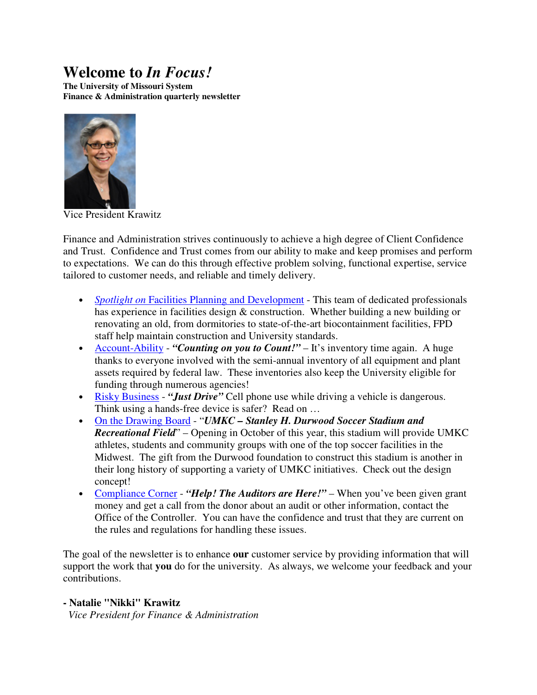# **Welcome to** *In Focus!*

**The University of Missouri System Finance & Administration quarterly newsletter** 



Vice President Krawitz

Finance and Administration strives continuously to achieve a high degree of Client Confidence and Trust. Confidence and Trust comes from our ability to make and keep promises and perform to expectations. We can do this through effective problem solving, functional expertise, service tailored to customer needs, and reliable and timely delivery.

- *Spotlight on Facilities Planning and Development* This team of dedicated professionals has experience in facilities design & construction. Whether building a new building or renovating an old, from dormitories to state-of-the-art biocontainment facilities, FPD staff help maintain construction and University standards.
- Account-Ability "**Counting on you to Count!**" It's inventory time again. A huge thanks to everyone involved with the semi-annual inventory of all equipment and plant assets required by federal law. These inventories also keep the University eligible for funding through numerous agencies!
- Risky Business "*Just Drive*" Cell phone use while driving a vehicle is dangerous. Think using a hands-free device is safer? Read on …
- On the Drawing Board "*UMKC Stanley H. Durwood Soccer Stadium and Recreational Field*" – Opening in October of this year, this stadium will provide UMKC athletes, students and community groups with one of the top soccer facilities in the Midwest. The gift from the Durwood foundation to construct this stadium is another in their long history of supporting a variety of UMKC initiatives. Check out the design concept!
- Compliance Corner "*Help! The Auditors are Here!*" When you've been given grant money and get a call from the donor about an audit or other information, contact the Office of the Controller. You can have the confidence and trust that they are current on the rules and regulations for handling these issues.

The goal of the newsletter is to enhance **our** customer service by providing information that will support the work that **you** do for the university. As always, we welcome your feedback and your contributions.

## **- Natalie "Nikki" Krawitz**

 *Vice President for Finance & Administration*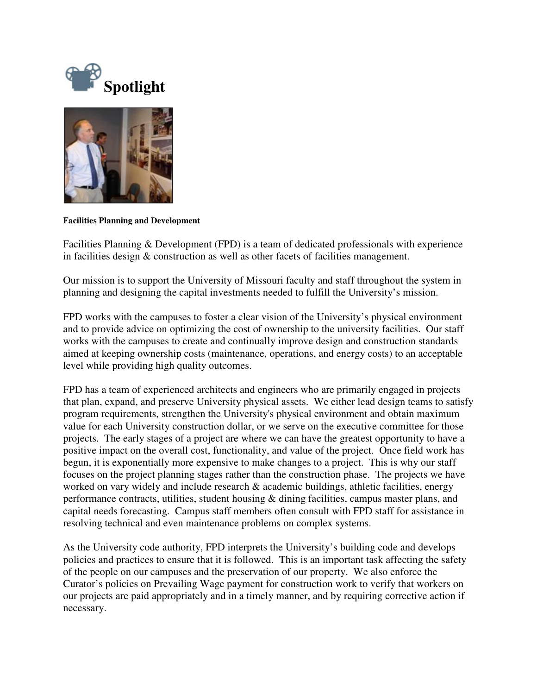



**Facilities Planning and Development** 

Facilities Planning & Development (FPD) is a team of dedicated professionals with experience in facilities design & construction as well as other facets of facilities management.

Our mission is to support the University of Missouri faculty and staff throughout the system in planning and designing the capital investments needed to fulfill the University's mission.

FPD works with the campuses to foster a clear vision of the University's physical environment and to provide advice on optimizing the cost of ownership to the university facilities. Our staff works with the campuses to create and continually improve design and construction standards aimed at keeping ownership costs (maintenance, operations, and energy costs) to an acceptable level while providing high quality outcomes.

FPD has a team of experienced architects and engineers who are primarily engaged in projects that plan, expand, and preserve University physical assets. We either lead design teams to satisfy program requirements, strengthen the University's physical environment and obtain maximum value for each University construction dollar, or we serve on the executive committee for those projects. The early stages of a project are where we can have the greatest opportunity to have a positive impact on the overall cost, functionality, and value of the project. Once field work has begun, it is exponentially more expensive to make changes to a project. This is why our staff focuses on the project planning stages rather than the construction phase. The projects we have worked on vary widely and include research & academic buildings, athletic facilities, energy performance contracts, utilities, student housing & dining facilities, campus master plans, and capital needs forecasting. Campus staff members often consult with FPD staff for assistance in resolving technical and even maintenance problems on complex systems.

As the University code authority, FPD interprets the University's building code and develops policies and practices to ensure that it is followed. This is an important task affecting the safety of the people on our campuses and the preservation of our property. We also enforce the Curator's policies on Prevailing Wage payment for construction work to verify that workers on our projects are paid appropriately and in a timely manner, and by requiring corrective action if necessary.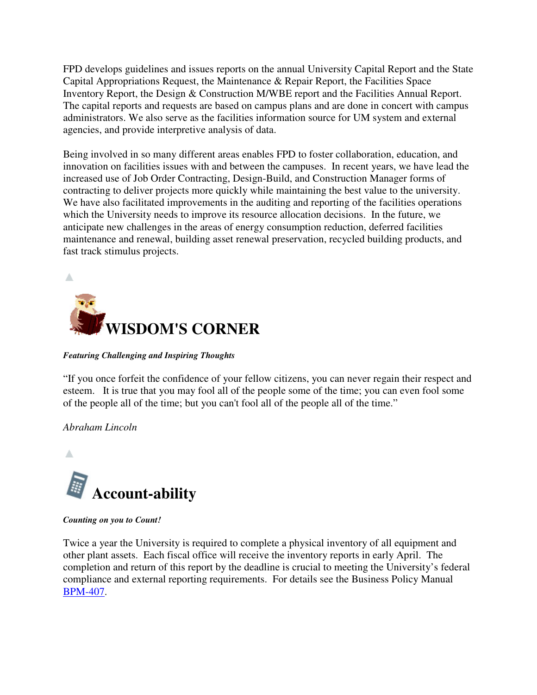FPD develops guidelines and issues reports on the annual University Capital Report and the State Capital Appropriations Request, the Maintenance & Repair Report, the Facilities Space Inventory Report, the Design & Construction M/WBE report and the Facilities Annual Report. The capital reports and requests are based on campus plans and are done in concert with campus administrators. We also serve as the facilities information source for UM system and external agencies, and provide interpretive analysis of data.

Being involved in so many different areas enables FPD to foster collaboration, education, and innovation on facilities issues with and between the campuses. In recent years, we have lead the increased use of Job Order Contracting, Design-Build, and Construction Manager forms of contracting to deliver projects more quickly while maintaining the best value to the university. We have also facilitated improvements in the auditing and reporting of the facilities operations which the University needs to improve its resource allocation decisions. In the future, we anticipate new challenges in the areas of energy consumption reduction, deferred facilities maintenance and renewal, building asset renewal preservation, recycled building products, and fast track stimulus projects.



### *Featuring Challenging and Inspiring Thoughts*

"If you once forfeit the confidence of your fellow citizens, you can never regain their respect and esteem. It is true that you may fool all of the people some of the time; you can even fool some of the people all of the time; but you can't fool all of the people all of the time."

## *Abraham Lincoln*



*Counting on you to Count!*

Twice a year the University is required to complete a physical inventory of all equipment and other plant assets. Each fiscal office will receive the inventory reports in early April. The completion and return of this report by the deadline is crucial to meeting the University's federal compliance and external reporting requirements. For details see the Business Policy Manual BPM-407.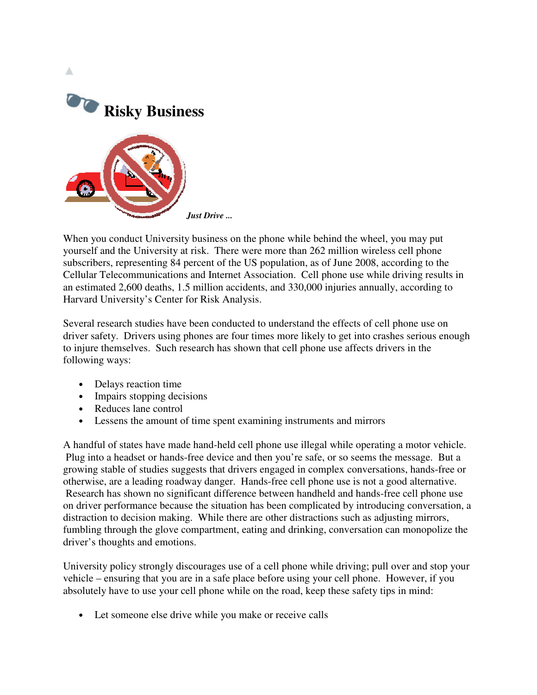

When you conduct University business on the phone while behind the wheel, you may put yourself and the University at risk. There were more than 262 million wireless cell phone subscribers, representing 84 percent of the US population, as of June 2008, according to the Cellular Telecommunications and Internet Association. Cell phone use while driving results in an estimated 2,600 deaths, 1.5 million accidents, and 330,000 injuries annually, according to Harvard University's Center for Risk Analysis.

Several research studies have been conducted to understand the effects of cell phone use on driver safety. Drivers using phones are four times more likely to get into crashes serious enough to injure themselves. Such research has shown that cell phone use affects drivers in the following ways:

- Delays reaction time
- Impairs stopping decisions
- Reduces lane control
- Lessens the amount of time spent examining instruments and mirrors

A handful of states have made hand-held cell phone use illegal while operating a motor vehicle. Plug into a headset or hands-free device and then you're safe, or so seems the message. But a growing stable of studies suggests that drivers engaged in complex conversations, hands-free or otherwise, are a leading roadway danger. Hands-free cell phone use is not a good alternative. Research has shown no significant difference between handheld and hands-free cell phone use on driver performance because the situation has been complicated by introducing conversation, a distraction to decision making. While there are other distractions such as adjusting mirrors, fumbling through the glove compartment, eating and drinking, conversation can monopolize the driver's thoughts and emotions.

University policy strongly discourages use of a cell phone while driving; pull over and stop your vehicle – ensuring that you are in a safe place before using your cell phone. However, if you absolutely have to use your cell phone while on the road, keep these safety tips in mind:

• Let someone else drive while you make or receive calls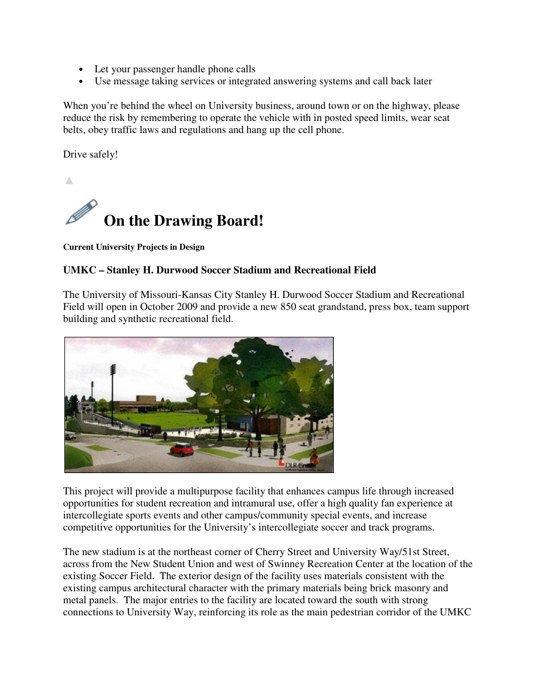- Let your passenger handle phone calls
- Use message taking services or integrated answering systems and call back later

When you're behind the wheel on University business, around town or on the highway, please reduce the risk by remembering to operate the vehicle with in posted speed limits, wear seat belts, obey traffic laws and regulations and hang up the cell phone.

Drive safely!

Δ



**Current University Projects in Design** 

## **UMKC – Stanley H. Durwood Soccer Stadium and Recreational Field**

The University of Missouri-Kansas City Stanley H. Durwood Soccer Stadium and Recreational Field will open in October 2009 and provide a new 850 seat grandstand, press box, team support building and synthetic recreational field.



This project will provide a multipurpose facility that enhances campus life through increased opportunities for student recreation and intramural use, offer a high quality fan experience at intercollegiate sports events and other campus/community special events, and increase competitive opportunities for the University's intercollegiate soccer and track programs.

The new stadium is at the northeast corner of Cherry Street and University Way/51st Street, across from the New Student Union and west of Swinney Recreation Center at the location of the existing Soccer Field. The exterior design of the facility uses materials consistent with the existing campus architectural character with the primary materials being brick masonry and metal panels. The major entries to the facility are located toward the south with strong connections to University Way, reinforcing its role as the main pedestrian corridor of the UMKC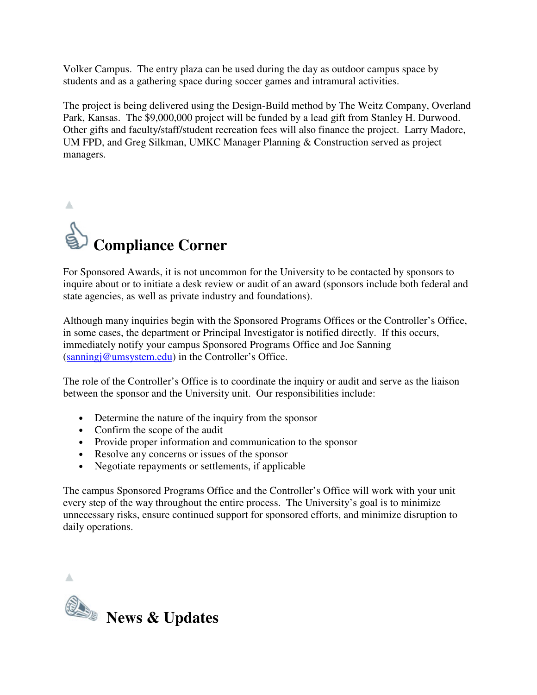Volker Campus. The entry plaza can be used during the day as outdoor campus space by students and as a gathering space during soccer games and intramural activities.

The project is being delivered using the Design-Build method by The Weitz Company, Overland Park, Kansas. The \$9,000,000 project will be funded by a lead gift from Stanley H. Durwood. Other gifts and faculty/staff/student recreation fees will also finance the project. Larry Madore, UM FPD, and Greg Silkman, UMKC Manager Planning & Construction served as project managers.



For Sponsored Awards, it is not uncommon for the University to be contacted by sponsors to inquire about or to initiate a desk review or audit of an award (sponsors include both federal and state agencies, as well as private industry and foundations).

Although many inquiries begin with the Sponsored Programs Offices or the Controller's Office, in some cases, the department or Principal Investigator is notified directly. If this occurs, immediately notify your campus Sponsored Programs Office and Joe Sanning (sanningj@umsystem.edu) in the Controller's Office.

The role of the Controller's Office is to coordinate the inquiry or audit and serve as the liaison between the sponsor and the University unit. Our responsibilities include:

- Determine the nature of the inquiry from the sponsor
- Confirm the scope of the audit
- Provide proper information and communication to the sponsor
- Resolve any concerns or issues of the sponsor
- Negotiate repayments or settlements, if applicable

The campus Sponsored Programs Office and the Controller's Office will work with your unit every step of the way throughout the entire process. The University's goal is to minimize unnecessary risks, ensure continued support for sponsored efforts, and minimize disruption to daily operations.

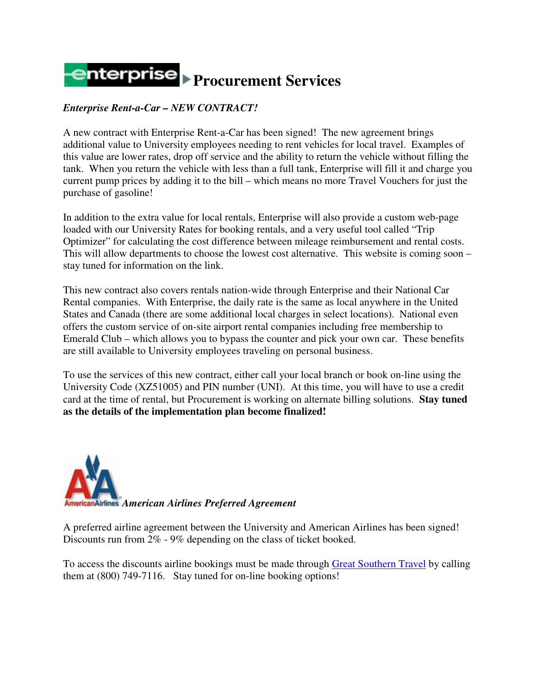# **Procurement Services**

## *Enterprise Rent-a-Car – NEW CONTRACT!*

A new contract with Enterprise Rent-a-Car has been signed! The new agreement brings additional value to University employees needing to rent vehicles for local travel. Examples of this value are lower rates, drop off service and the ability to return the vehicle without filling the tank. When you return the vehicle with less than a full tank, Enterprise will fill it and charge you current pump prices by adding it to the bill – which means no more Travel Vouchers for just the purchase of gasoline!

In addition to the extra value for local rentals, Enterprise will also provide a custom web-page loaded with our University Rates for booking rentals, and a very useful tool called "Trip Optimizer" for calculating the cost difference between mileage reimbursement and rental costs. This will allow departments to choose the lowest cost alternative. This website is coming soon – stay tuned for information on the link.

This new contract also covers rentals nation-wide through Enterprise and their National Car Rental companies. With Enterprise, the daily rate is the same as local anywhere in the United States and Canada (there are some additional local charges in select locations). National even offers the custom service of on-site airport rental companies including free membership to Emerald Club – which allows you to bypass the counter and pick your own car. These benefits are still available to University employees traveling on personal business.

To use the services of this new contract, either call your local branch or book on-line using the University Code (XZ51005) and PIN number (UNI). At this time, you will have to use a credit card at the time of rental, but Procurement is working on alternate billing solutions. **Stay tuned as the details of the implementation plan become finalized!**



A preferred airline agreement between the University and American Airlines has been signed! Discounts run from 2% - 9% depending on the class of ticket booked.

To access the discounts airline bookings must be made through Great Southern Travel by calling them at (800) 749-7116. Stay tuned for on-line booking options!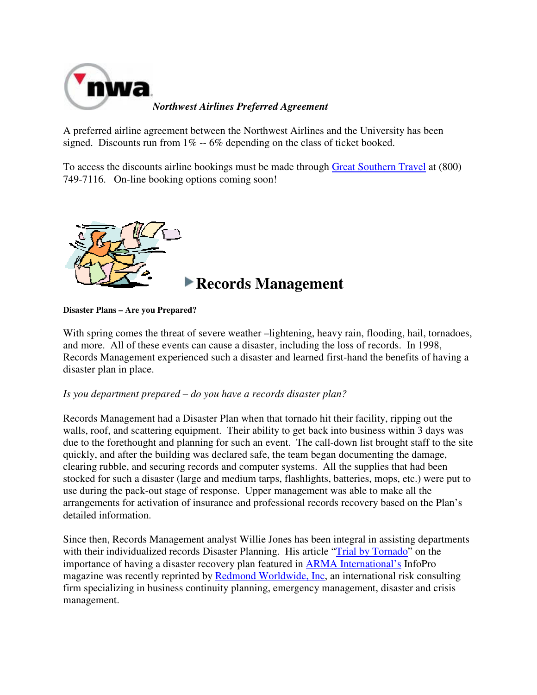

*Northwest Airlines Preferred Agreement*

A preferred airline agreement between the Northwest Airlines and the University has been signed. Discounts run from  $1\% - 6\%$  depending on the class of ticket booked.

To access the discounts airline bookings must be made through Great Southern Travel at (800) 749-7116. On-line booking options coming soon!



## **Records Management**

**Disaster Plans – Are you Prepared?** 

With spring comes the threat of severe weather –lightening, heavy rain, flooding, hail, tornadoes, and more. All of these events can cause a disaster, including the loss of records. In 1998, Records Management experienced such a disaster and learned first-hand the benefits of having a disaster plan in place.

### *Is you department prepared – do you have a records disaster plan?*

Records Management had a Disaster Plan when that tornado hit their facility, ripping out the walls, roof, and scattering equipment. Their ability to get back into business within 3 days was due to the forethought and planning for such an event. The call-down list brought staff to the site quickly, and after the building was declared safe, the team began documenting the damage, clearing rubble, and securing records and computer systems. All the supplies that had been stocked for such a disaster (large and medium tarps, flashlights, batteries, mops, etc.) were put to use during the pack-out stage of response. Upper management was able to make all the arrangements for activation of insurance and professional records recovery based on the Plan's detailed information.

Since then, Records Management analyst Willie Jones has been integral in assisting departments with their individualized records Disaster Planning. His article "Trial by Tornado" on the importance of having a disaster recovery plan featured in **ARMA** International's InfoPro magazine was recently reprinted by Redmond Worldwide, Inc, an international risk consulting firm specializing in business continuity planning, emergency management, disaster and crisis management.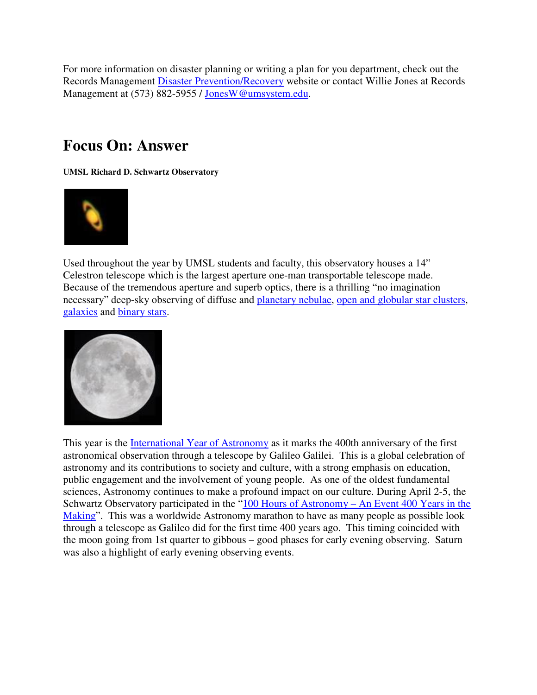For more information on disaster planning or writing a plan for you department, check out the Records Management Disaster Prevention/Recovery website or contact Willie Jones at Records Management at (573) 882-5955 / JonesW@umsystem.edu.

# **Focus On: Answer**

**UMSL Richard D. Schwartz Observatory** 



Used throughout the year by UMSL students and faculty, this observatory houses a 14" Celestron telescope which is the largest aperture one-man transportable telescope made. Because of the tremendous aperture and superb optics, there is a thrilling "no imagination necessary" deep-sky observing of diffuse and planetary nebulae, open and globular star clusters, galaxies and binary stars.



This year is the International Year of Astronomy as it marks the 400th anniversary of the first astronomical observation through a telescope by Galileo Galilei. This is a global celebration of astronomy and its contributions to society and culture, with a strong emphasis on education, public engagement and the involvement of young people. As one of the oldest fundamental sciences, Astronomy continues to make a profound impact on our culture. During April 2-5, the Schwartz Observatory participated in the "100 Hours of Astronomy – An Event 400 Years in the Making". This was a worldwide Astronomy marathon to have as many people as possible look through a telescope as Galileo did for the first time 400 years ago. This timing coincided with the moon going from 1st quarter to gibbous – good phases for early evening observing. Saturn was also a highlight of early evening observing events.